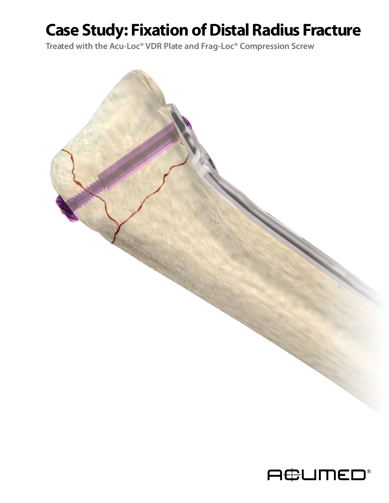# **Case Study: Fixation of Distal Radius Fracture**

**Treated with the Acu-Loc® VDR Plate and Frag-Loc® Compression Screw**